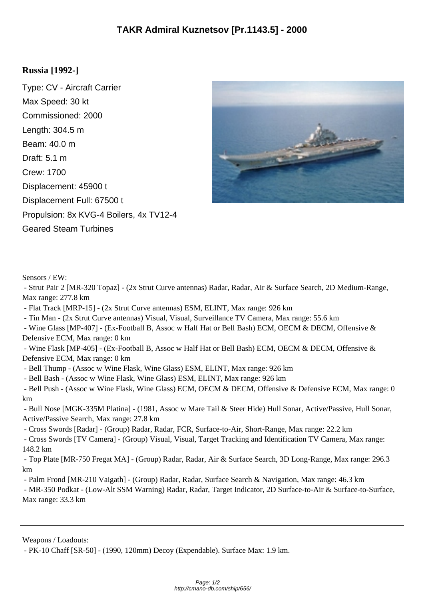## **Russia [1992-]**

Type: CV - Aircraft Carrier Max Speed: 30 kt Commissioned: 2000 Length: 304.5 m Beam: 40.0 m Draft: 5.1 m Crew: 1700 Displacement: 45900 t Displacement Full: 67500 t Propulsion: 8x KVG-4 Boilers, 4x TV12-4 Geared Steam Turbines



Sensors / EW:

 - Strut Pair 2 [MR-320 Topaz] - (2x Strut Curve antennas) Radar, Radar, Air & Surface Search, 2D Medium-Range, Max range: 277.8 km

- Flat Track [MRP-15] - (2x Strut Curve antennas) ESM, ELINT, Max range: 926 km

- Tin Man - (2x Strut Curve antennas) Visual, Visual, Surveillance TV Camera, Max range: 55.6 km

 - Wine Glass [MP-407] - (Ex-Football B, Assoc w Half Hat or Bell Bash) ECM, OECM & DECM, Offensive & Defensive ECM, Max range: 0 km

 - Wine Flask [MP-405] - (Ex-Football B, Assoc w Half Hat or Bell Bash) ECM, OECM & DECM, Offensive & Defensive ECM, Max range: 0 km

- Bell Thump - (Assoc w Wine Flask, Wine Glass) ESM, ELINT, Max range: 926 km

- Bell Bash - (Assoc w Wine Flask, Wine Glass) ESM, ELINT, Max range: 926 km

 - Bell Push - (Assoc w Wine Flask, Wine Glass) ECM, OECM & DECM, Offensive & Defensive ECM, Max range: 0 km

 - Bull Nose [MGK-335M Platina] - (1981, Assoc w Mare Tail & Steer Hide) Hull Sonar, Active/Passive, Hull Sonar, Active/Passive Search, Max range: 27.8 km

- Cross Swords [Radar] - (Group) Radar, Radar, FCR, Surface-to-Air, Short-Range, Max range: 22.2 km

 - Cross Swords [TV Camera] - (Group) Visual, Visual, Target Tracking and Identification TV Camera, Max range: 148.2 km

 - Top Plate [MR-750 Fregat MA] - (Group) Radar, Radar, Air & Surface Search, 3D Long-Range, Max range: 296.3 km

- Palm Frond [MR-210 Vaigath] - (Group) Radar, Radar, Surface Search & Navigation, Max range: 46.3 km

 - MR-350 Podkat - (Low-Alt SSM Warning) Radar, Radar, Target Indicator, 2D Surface-to-Air & Surface-to-Surface, Max range: 33.3 km

Weapons / Loadouts:

- PK-10 Chaff [SR-50] - (1990, 120mm) Decoy (Expendable). Surface Max: 1.9 km.